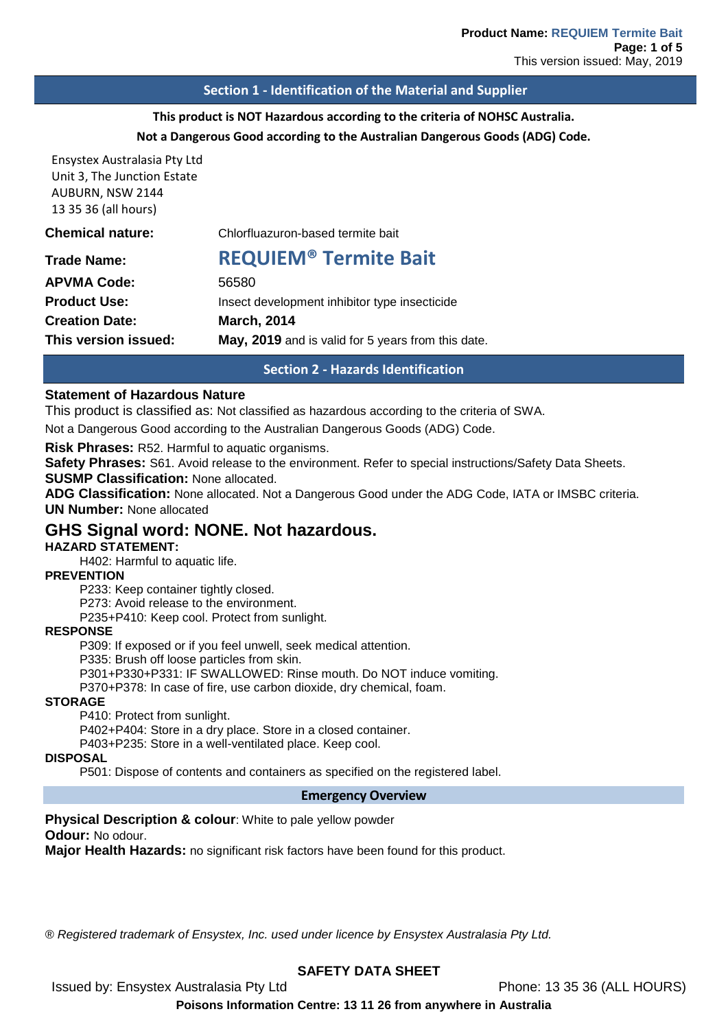### **Section 1 - Identification of the Material and Supplier**

## **This product is NOT Hazardous according to the criteria of NOHSC Australia.**

#### **Not a Dangerous Good according to the Australian Dangerous Goods (ADG) Code.**

Ensystex Australasia Pty Ltd Unit 3, The Junction Estate AUBURN, NSW 2144 13 35 36 (all hours)

| This version issued:<br>May, 2019 and is valid for 5 years from this date. |  |
|----------------------------------------------------------------------------|--|
|                                                                            |  |
| <b>March, 2014</b><br><b>Creation Date:</b>                                |  |
| <b>Product Use:</b><br>Insect development inhibitor type insecticide       |  |
| <b>APVMA Code:</b><br>56580                                                |  |
| <b>REQUIEM<sup>®</sup> Termite Bait</b><br><b>Trade Name:</b>              |  |
| <b>Chemical nature:</b><br>Chlorfluazuron-based termite bait               |  |

# **Section 2 - Hazards Identification**

#### **Statement of Hazardous Nature**

This product is classified as: Not classified as hazardous according to the criteria of SWA.

Not a Dangerous Good according to the Australian Dangerous Goods (ADG) Code.

**Risk Phrases:** R52. Harmful to aquatic organisms.

**Safety Phrases:** S61. Avoid release to the environment. Refer to special instructions/Safety Data Sheets.

**SUSMP Classification:** None allocated.

**ADG Classification:** None allocated. Not a Dangerous Good under the ADG Code, IATA or IMSBC criteria. **UN Number:** None allocated

# **GHS Signal word: NONE. Not hazardous.**

### **HAZARD STATEMENT:**

H402: Harmful to aquatic life.

#### **PREVENTION**

P233: Keep container tightly closed.

P273: Avoid release to the environment.

P235+P410: Keep cool. Protect from sunlight.

#### **RESPONSE**

P309: If exposed or if you feel unwell, seek medical attention. P335: Brush off loose particles from skin. P301+P330+P331: IF SWALLOWED: Rinse mouth. Do NOT induce vomiting. P370+P378: In case of fire, use carbon dioxide, dry chemical, foam.

#### **STORAGE**

P410: Protect from sunlight.

P402+P404: Store in a dry place. Store in a closed container.

P403+P235: Store in a well-ventilated place. Keep cool.

### **DISPOSAL**

P501: Dispose of contents and containers as specified on the registered label.

#### **Emergency Overview**

**Physical Description & colour**: White to pale yellow powder **Odour:** No odour.

**Major Health Hazards:** no significant risk factors have been found for this product.

*® Registered trademark of Ensystex, Inc. used under licence by Ensystex Australasia Pty Ltd.*

# **SAFETY DATA SHEET**

Issued by: Ensystex Australasia Pty Ltd Phone: 13 35 36 (ALL HOURS)

**Poisons Information Centre: 13 11 26 from anywhere in Australia**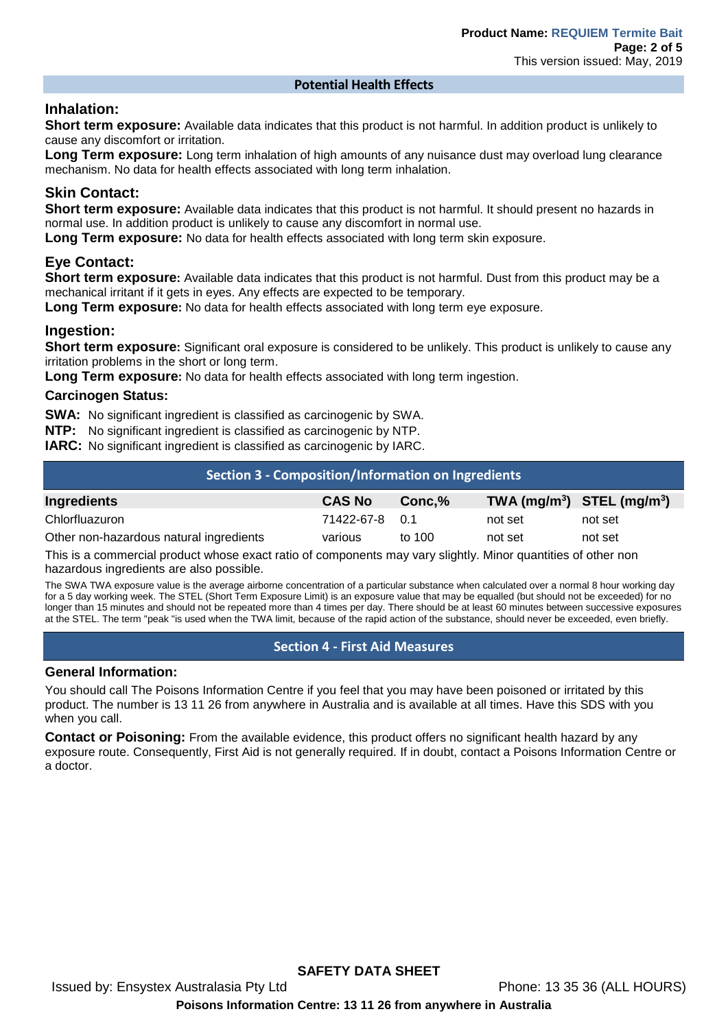#### **Potential Health Effects**

## **Inhalation:**

**Short term exposure:** Available data indicates that this product is not harmful. In addition product is unlikely to cause any discomfort or irritation.

**Long Term exposure:** Long term inhalation of high amounts of any nuisance dust may overload lung clearance mechanism. No data for health effects associated with long term inhalation.

# **Skin Contact:**

**Short term exposure:** Available data indicates that this product is not harmful. It should present no hazards in normal use. In addition product is unlikely to cause any discomfort in normal use.

**Long Term exposure:** No data for health effects associated with long term skin exposure.

## **Eye Contact:**

**Short term exposure:** Available data indicates that this product is not harmful. Dust from this product may be a mechanical irritant if it gets in eyes. Any effects are expected to be temporary.

**Long Term exposure:** No data for health effects associated with long term eye exposure.

## **Ingestion:**

**Short term exposure:** Significant oral exposure is considered to be unlikely. This product is unlikely to cause any irritation problems in the short or long term.

**Long Term exposure:** No data for health effects associated with long term ingestion.

### **Carcinogen Status:**

**SWA:** No significant ingredient is classified as carcinogenic by SWA.

**NTP:** No significant ingredient is classified as carcinogenic by NTP.

**IARC:** No significant ingredient is classified as carcinogenic by IARC.

| Section 3 - Composition/Information on Ingredients                                                            |                |        |                                |         |
|---------------------------------------------------------------------------------------------------------------|----------------|--------|--------------------------------|---------|
| Ingredients                                                                                                   | <b>CAS No</b>  | Conc.% | TWA $(mg/m^3)$ STEL $(mg/m^3)$ |         |
| Chlorfluazuron                                                                                                | 71422-67-8 0.1 |        | not set                        | not set |
| Other non-hazardous natural ingredients                                                                       | various        | to 100 | not set                        | not set |
| π1959 του του στον συλλητικό προσωπικό του στην σκολογία στον στην στον συναλική παλλά του στον αλλά του στον |                |        |                                |         |

This is a commercial product whose exact ratio of components may vary slightly. Minor quantities of other non hazardous ingredients are also possible.

The SWA TWA exposure value is the average airborne concentration of a particular substance when calculated over a normal 8 hour working day for a 5 day working week. The STEL (Short Term Exposure Limit) is an exposure value that may be equalled (but should not be exceeded) for no longer than 15 minutes and should not be repeated more than 4 times per day. There should be at least 60 minutes between successive exposures at the STEL. The term "peak "is used when the TWA limit, because of the rapid action of the substance, should never be exceeded, even briefly.

### **Section 4 - First Aid Measures**

### **General Information:**

You should call The Poisons Information Centre if you feel that you may have been poisoned or irritated by this product. The number is 13 11 26 from anywhere in Australia and is available at all times. Have this SDS with you when you call.

**Contact or Poisoning:** From the available evidence, this product offers no significant health hazard by any exposure route. Consequently, First Aid is not generally required. If in doubt, contact a Poisons Information Centre or a doctor.

**SAFETY DATA SHEET**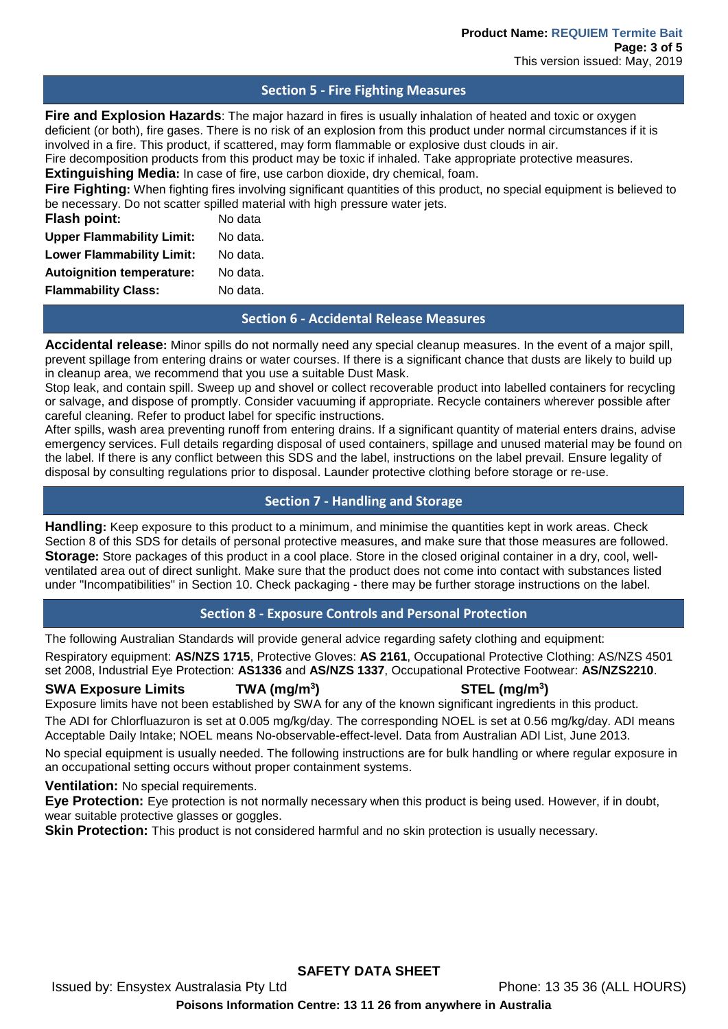### **Section 5 - Fire Fighting Measures**

**Fire and Explosion Hazards**: The major hazard in fires is usually inhalation of heated and toxic or oxygen deficient (or both), fire gases. There is no risk of an explosion from this product under normal circumstances if it is involved in a fire. This product, if scattered, may form flammable or explosive dust clouds in air.

Fire decomposition products from this product may be toxic if inhaled. Take appropriate protective measures.

**Extinguishing Media:** In case of fire, use carbon dioxide, dry chemical, foam.

**Fire Fighting:** When fighting fires involving significant quantities of this product, no special equipment is believed to be necessary. Do not scatter spilled material with high pressure water jets.

| Flash point:                     | No data  |
|----------------------------------|----------|
| <b>Upper Flammability Limit:</b> | No data. |
| <b>Lower Flammability Limit:</b> | No data. |
| <b>Autoignition temperature:</b> | No data. |
| <b>Flammability Class:</b>       | No data. |
|                                  |          |

### **Section 6 - Accidental Release Measures**

**Accidental release:** Minor spills do not normally need any special cleanup measures. In the event of a major spill, prevent spillage from entering drains or water courses. If there is a significant chance that dusts are likely to build up in cleanup area, we recommend that you use a suitable Dust Mask.

Stop leak, and contain spill. Sweep up and shovel or collect recoverable product into labelled containers for recycling or salvage, and dispose of promptly. Consider vacuuming if appropriate. Recycle containers wherever possible after careful cleaning. Refer to product label for specific instructions.

After spills, wash area preventing runoff from entering drains. If a significant quantity of material enters drains, advise emergency services. Full details regarding disposal of used containers, spillage and unused material may be found on the label. If there is any conflict between this SDS and the label, instructions on the label prevail. Ensure legality of disposal by consulting regulations prior to disposal. Launder protective clothing before storage or re-use.

## **Section 7 - Handling and Storage**

**Handling:** Keep exposure to this product to a minimum, and minimise the quantities kept in work areas. Check Section 8 of this SDS for details of personal protective measures, and make sure that those measures are followed. **Storage:** Store packages of this product in a cool place. Store in the closed original container in a dry, cool, wellventilated area out of direct sunlight. Make sure that the product does not come into contact with substances listed under "Incompatibilities" in Section 10. Check packaging - there may be further storage instructions on the label.

# **Section 8 - Exposure Controls and Personal Protection**

The following Australian Standards will provide general advice regarding safety clothing and equipment: Respiratory equipment: **AS/NZS 1715**, Protective Gloves: **AS 2161**, Occupational Protective Clothing: AS/NZS 4501 set 2008, Industrial Eye Protection: **AS1336** and **AS/NZS 1337**, Occupational Protective Footwear: **AS/NZS2210**.

**SWA Exposure Limits TWA (mg/m3 ) STEL (mg/m3 )** Exposure limits have not been established by SWA for any of the known significant ingredients in this product. The ADI for Chlorfluazuron is set at 0.005 mg/kg/day. The corresponding NOEL is set at 0.56 mg/kg/day. ADI means Acceptable Daily Intake; NOEL means No-observable-effect-level. Data from Australian ADI List, June 2013.

No special equipment is usually needed. The following instructions are for bulk handling or where regular exposure in an occupational setting occurs without proper containment systems.

**Ventilation:** No special requirements.

**Eye Protection:** Eye protection is not normally necessary when this product is being used. However, if in doubt, wear suitable protective glasses or goggles.

**Skin Protection:** This product is not considered harmful and no skin protection is usually necessary.

**SAFETY DATA SHEET**

**Poisons Information Centre: 13 11 26 from anywhere in Australia**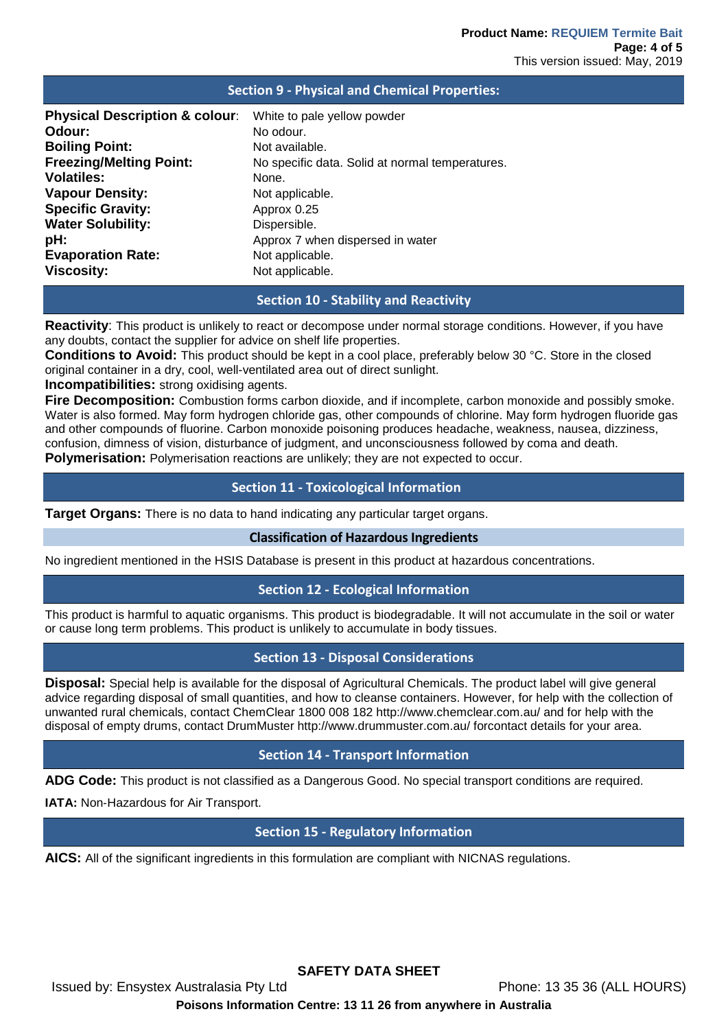| <b>Physical Description &amp; colour:</b><br>White to pale yellow powder<br>Odour:<br>No odour.<br><b>Boiling Point:</b><br>Not available.<br><b>Freezing/Melting Point:</b><br>No specific data. Solid at normal temperatures.<br><b>Volatiles:</b><br>None.<br><b>Vapour Density:</b><br>Not applicable.<br><b>Specific Gravity:</b><br>Approx 0.25<br><b>Water Solubility:</b><br>Dispersible.<br>pH:<br>Approx 7 when dispersed in water | <b>Section 9 - Physical and Chemical Properties:</b> |                 |  |  |  |
|----------------------------------------------------------------------------------------------------------------------------------------------------------------------------------------------------------------------------------------------------------------------------------------------------------------------------------------------------------------------------------------------------------------------------------------------|------------------------------------------------------|-----------------|--|--|--|
|                                                                                                                                                                                                                                                                                                                                                                                                                                              |                                                      |                 |  |  |  |
|                                                                                                                                                                                                                                                                                                                                                                                                                                              |                                                      |                 |  |  |  |
|                                                                                                                                                                                                                                                                                                                                                                                                                                              |                                                      |                 |  |  |  |
|                                                                                                                                                                                                                                                                                                                                                                                                                                              |                                                      |                 |  |  |  |
|                                                                                                                                                                                                                                                                                                                                                                                                                                              |                                                      |                 |  |  |  |
|                                                                                                                                                                                                                                                                                                                                                                                                                                              |                                                      |                 |  |  |  |
|                                                                                                                                                                                                                                                                                                                                                                                                                                              |                                                      |                 |  |  |  |
|                                                                                                                                                                                                                                                                                                                                                                                                                                              |                                                      |                 |  |  |  |
|                                                                                                                                                                                                                                                                                                                                                                                                                                              |                                                      |                 |  |  |  |
|                                                                                                                                                                                                                                                                                                                                                                                                                                              | <b>Evaporation Rate:</b>                             | Not applicable. |  |  |  |
| <b>Viscosity:</b><br>Not applicable.                                                                                                                                                                                                                                                                                                                                                                                                         |                                                      |                 |  |  |  |

## **Section 10 - Stability and Reactivity**

**Reactivity**: This product is unlikely to react or decompose under normal storage conditions. However, if you have any doubts, contact the supplier for advice on shelf life properties.

**Conditions to Avoid:** This product should be kept in a cool place, preferably below 30 °C. Store in the closed original container in a dry, cool, well-ventilated area out of direct sunlight.

**Incompatibilities:** strong oxidising agents.

**Fire Decomposition:** Combustion forms carbon dioxide, and if incomplete, carbon monoxide and possibly smoke. Water is also formed. May form hydrogen chloride gas, other compounds of chlorine. May form hydrogen fluoride gas and other compounds of fluorine. Carbon monoxide poisoning produces headache, weakness, nausea, dizziness, confusion, dimness of vision, disturbance of judgment, and unconsciousness followed by coma and death. **Polymerisation:** Polymerisation reactions are unlikely; they are not expected to occur.

### **Section 11 - Toxicological Information**

**Target Organs:** There is no data to hand indicating any particular target organs.

#### **Classification of Hazardous Ingredients**

No ingredient mentioned in the HSIS Database is present in this product at hazardous concentrations.

### **Section 12 - Ecological Information**

This product is harmful to aquatic organisms. This product is biodegradable. It will not accumulate in the soil or water or cause long term problems. This product is unlikely to accumulate in body tissues.

## **Section 13 - Disposal Considerations**

**Disposal:** Special help is available for the disposal of Agricultural Chemicals. The product label will give general advice regarding disposal of small quantities, and how to cleanse containers. However, for help with the collection of unwanted rural chemicals, contact ChemClear 1800 008 182 http://www.chemclear.com.au/ and for help with the disposal of empty drums, contact DrumMuster http://www.drummuster.com.au/ forcontact details for your area.

### **Section 14 - Transport Information**

**ADG Code:** This product is not classified as a Dangerous Good. No special transport conditions are required.

**IATA: Non-Hazardous for Air Transport.** 

### **Section 15 - Regulatory Information**

**AICS:** All of the significant ingredients in this formulation are compliant with NICNAS regulations.

**SAFETY DATA SHEET**

Issued by: Ensystex Australasia Pty Ltd Phone: 13 35 36 (ALL HOURS)

**Poisons Information Centre: 13 11 26 from anywhere in Australia**